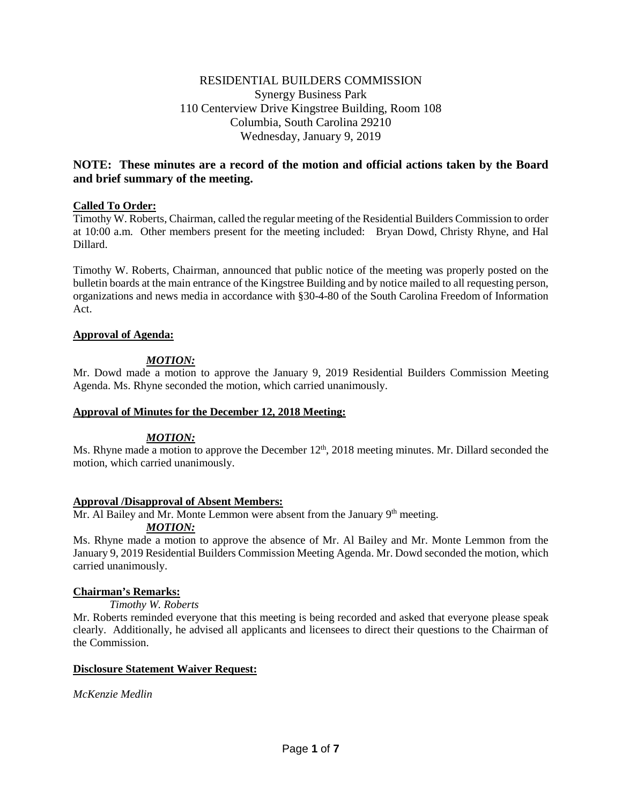## RESIDENTIAL BUILDERS COMMISSION Synergy Business Park 110 Centerview Drive Kingstree Building, Room 108 Columbia, South Carolina 29210 Wednesday, January 9, 2019

# **NOTE: These minutes are a record of the motion and official actions taken by the Board and brief summary of the meeting.**

## **Called To Order:**

Timothy W. Roberts, Chairman, called the regular meeting of the Residential Builders Commission to order at 10:00 a.m. Other members present for the meeting included: Bryan Dowd, Christy Rhyne, and Hal Dillard.

Timothy W. Roberts, Chairman, announced that public notice of the meeting was properly posted on the bulletin boards at the main entrance of the Kingstree Building and by notice mailed to all requesting person, organizations and news media in accordance with §30-4-80 of the South Carolina Freedom of Information Act.

### **Approval of Agenda:**

## *MOTION:*

Mr. Dowd made a motion to approve the January 9, 2019 Residential Builders Commission Meeting Agenda. Ms. Rhyne seconded the motion, which carried unanimously.

### **Approval of Minutes for the December 12, 2018 Meeting:**

### *MOTION:*

Ms. Rhyne made a motion to approve the December  $12<sup>th</sup>$ , 2018 meeting minutes. Mr. Dillard seconded the motion, which carried unanimously.

### **Approval /Disapproval of Absent Members:**

Mr. Al Bailey and Mr. Monte Lemmon were absent from the January 9<sup>th</sup> meeting.

## *MOTION:*

Ms. Rhyne made a motion to approve the absence of Mr. Al Bailey and Mr. Monte Lemmon from the January 9, 2019 Residential Builders Commission Meeting Agenda. Mr. Dowd seconded the motion, which carried unanimously.

### **Chairman's Remarks:**

*Timothy W. Roberts*

Mr. Roberts reminded everyone that this meeting is being recorded and asked that everyone please speak clearly. Additionally, he advised all applicants and licensees to direct their questions to the Chairman of the Commission.

### **Disclosure Statement Waiver Request:**

*McKenzie Medlin*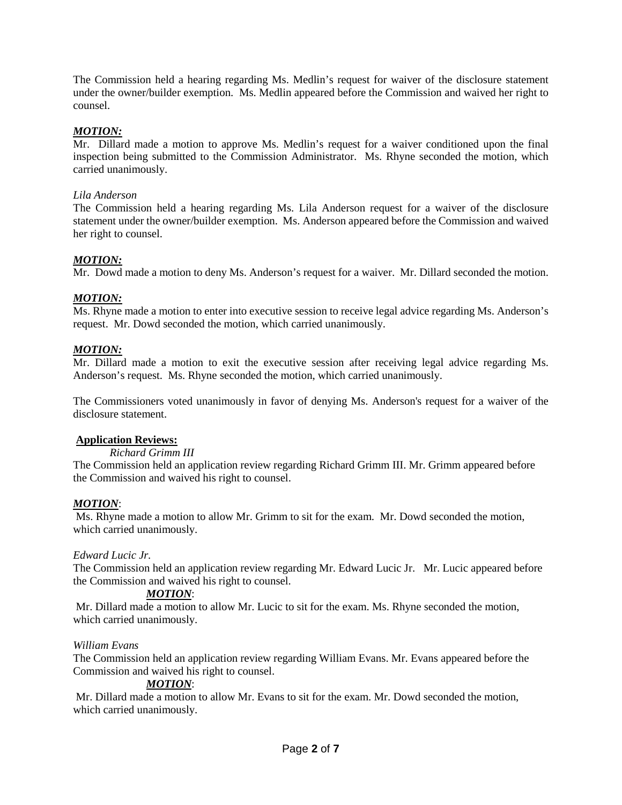The Commission held a hearing regarding Ms. Medlin's request for waiver of the disclosure statement under the owner/builder exemption. Ms. Medlin appeared before the Commission and waived her right to counsel.

## *MOTION:*

Mr. Dillard made a motion to approve Ms. Medlin's request for a waiver conditioned upon the final inspection being submitted to the Commission Administrator. Ms. Rhyne seconded the motion, which carried unanimously.

## *Lila Anderson*

The Commission held a hearing regarding Ms. Lila Anderson request for a waiver of the disclosure statement under the owner/builder exemption. Ms. Anderson appeared before the Commission and waived her right to counsel.

# *MOTION:*

Mr. Dowd made a motion to deny Ms. Anderson's request for a waiver. Mr. Dillard seconded the motion.

## *MOTION:*

Ms. Rhyne made a motion to enter into executive session to receive legal advice regarding Ms. Anderson's request. Mr. Dowd seconded the motion, which carried unanimously.

## *MOTION:*

Mr. Dillard made a motion to exit the executive session after receiving legal advice regarding Ms. Anderson's request. Ms. Rhyne seconded the motion, which carried unanimously.

The Commissioners voted unanimously in favor of denying Ms. Anderson's request for a waiver of the disclosure statement.

### **Application Reviews:**

## *Richard Grimm III*

The Commission held an application review regarding Richard Grimm III. Mr. Grimm appeared before the Commission and waived his right to counsel.

### *MOTION*:

Ms. Rhyne made a motion to allow Mr. Grimm to sit for the exam. Mr. Dowd seconded the motion, which carried unanimously.

### *Edward Lucic Jr.*

The Commission held an application review regarding Mr. Edward Lucic Jr. Mr. Lucic appeared before the Commission and waived his right to counsel.

### *MOTION*:

Mr. Dillard made a motion to allow Mr. Lucic to sit for the exam. Ms. Rhyne seconded the motion, which carried unanimously.

### *William Evans*

The Commission held an application review regarding William Evans. Mr. Evans appeared before the Commission and waived his right to counsel.

### *MOTION*:

Mr. Dillard made a motion to allow Mr. Evans to sit for the exam. Mr. Dowd seconded the motion, which carried unanimously.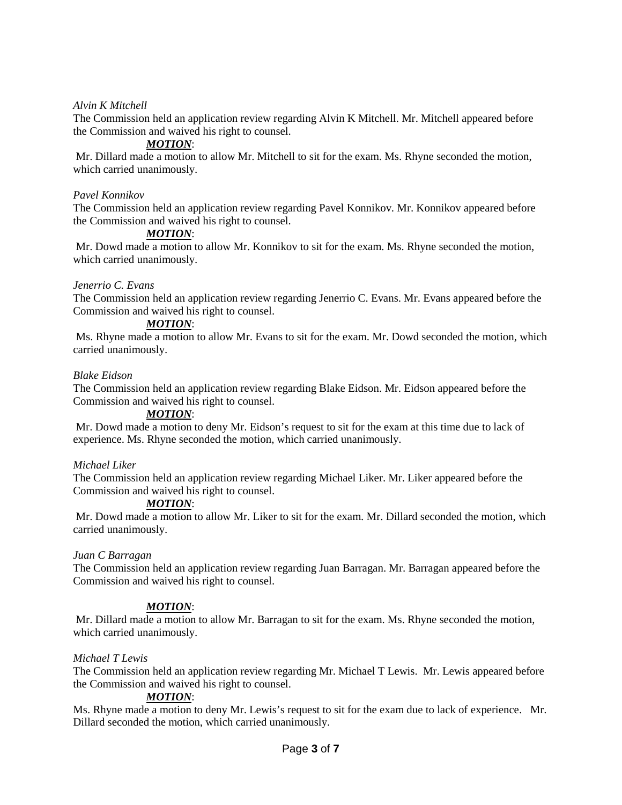## *Alvin K Mitchell*

The Commission held an application review regarding Alvin K Mitchell. Mr. Mitchell appeared before the Commission and waived his right to counsel.

## *MOTION*:

Mr. Dillard made a motion to allow Mr. Mitchell to sit for the exam. Ms. Rhyne seconded the motion, which carried unanimously.

#### *Pavel Konnikov*

The Commission held an application review regarding Pavel Konnikov. Mr. Konnikov appeared before the Commission and waived his right to counsel.

### *MOTION*:

Mr. Dowd made a motion to allow Mr. Konnikov to sit for the exam. Ms. Rhyne seconded the motion, which carried unanimously.

### *Jenerrio C. Evans*

The Commission held an application review regarding Jenerrio C. Evans. Mr. Evans appeared before the Commission and waived his right to counsel.

## *MOTION*:

Ms. Rhyne made a motion to allow Mr. Evans to sit for the exam. Mr. Dowd seconded the motion, which carried unanimously.

### *Blake Eidson*

The Commission held an application review regarding Blake Eidson. Mr. Eidson appeared before the Commission and waived his right to counsel.

## *MOTION*:

Mr. Dowd made a motion to deny Mr. Eidson's request to sit for the exam at this time due to lack of experience. Ms. Rhyne seconded the motion, which carried unanimously.

### *Michael Liker*

The Commission held an application review regarding Michael Liker. Mr. Liker appeared before the Commission and waived his right to counsel.

### *MOTION*:

Mr. Dowd made a motion to allow Mr. Liker to sit for the exam. Mr. Dillard seconded the motion, which carried unanimously.

### *Juan C Barragan*

The Commission held an application review regarding Juan Barragan. Mr. Barragan appeared before the Commission and waived his right to counsel.

### *MOTION*:

Mr. Dillard made a motion to allow Mr. Barragan to sit for the exam. Ms. Rhyne seconded the motion, which carried unanimously.

### *Michael T Lewis*

The Commission held an application review regarding Mr. Michael T Lewis. Mr. Lewis appeared before the Commission and waived his right to counsel.

### *MOTION*:

Ms. Rhyne made a motion to deny Mr. Lewis's request to sit for the exam due to lack of experience. Mr. Dillard seconded the motion, which carried unanimously.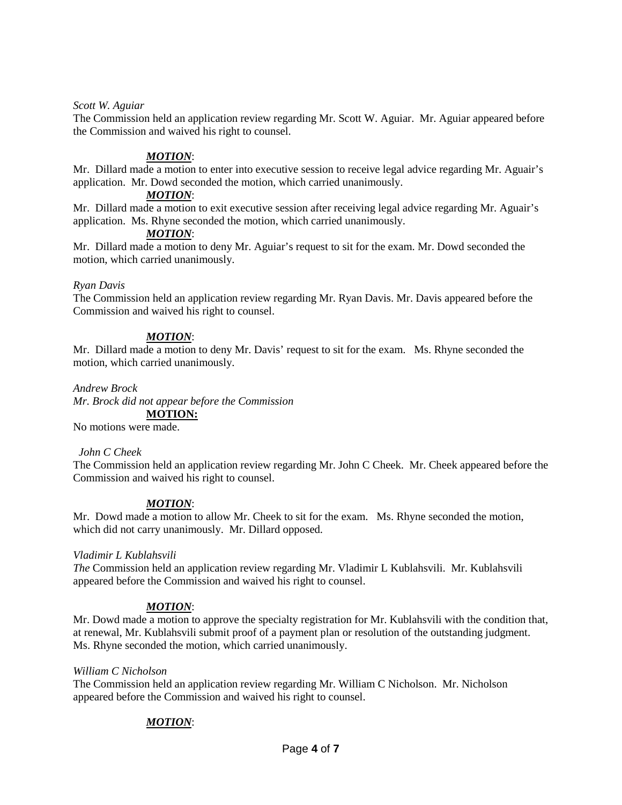## *Scott W. Aguiar*

The Commission held an application review regarding Mr. Scott W. Aguiar. Mr. Aguiar appeared before the Commission and waived his right to counsel.

# *MOTION*:

Mr. Dillard made a motion to enter into executive session to receive legal advice regarding Mr. Aguair's application. Mr. Dowd seconded the motion, which carried unanimously.

## *MOTION*:

Mr. Dillard made a motion to exit executive session after receiving legal advice regarding Mr. Aguair's application. Ms. Rhyne seconded the motion, which carried unanimously.

## *MOTION*:

Mr. Dillard made a motion to deny Mr. Aguiar's request to sit for the exam. Mr. Dowd seconded the motion, which carried unanimously.

## *Ryan Davis*

The Commission held an application review regarding Mr. Ryan Davis. Mr. Davis appeared before the Commission and waived his right to counsel.

## *MOTION*:

Mr. Dillard made a motion to deny Mr. Davis' request to sit for the exam. Ms. Rhyne seconded the motion, which carried unanimously.

*Andrew Brock Mr. Brock did not appear before the Commission* **MOTION:** No motions were made.

## *John C Cheek*

The Commission held an application review regarding Mr. John C Cheek. Mr. Cheek appeared before the Commission and waived his right to counsel.

## *MOTION*:

Mr. Dowd made a motion to allow Mr. Cheek to sit for the exam. Ms. Rhyne seconded the motion, which did not carry unanimously. Mr. Dillard opposed.

### *Vladimir L Kublahsvili*

*The* Commission held an application review regarding Mr. Vladimir L Kublahsvili. Mr. Kublahsvili appeared before the Commission and waived his right to counsel.

## *MOTION*:

Mr. Dowd made a motion to approve the specialty registration for Mr. Kublahsvili with the condition that, at renewal, Mr. Kublahsvili submit proof of a payment plan or resolution of the outstanding judgment. Ms. Rhyne seconded the motion, which carried unanimously.

### *William C Nicholson*

The Commission held an application review regarding Mr. William C Nicholson. Mr. Nicholson appeared before the Commission and waived his right to counsel.

## *MOTION*: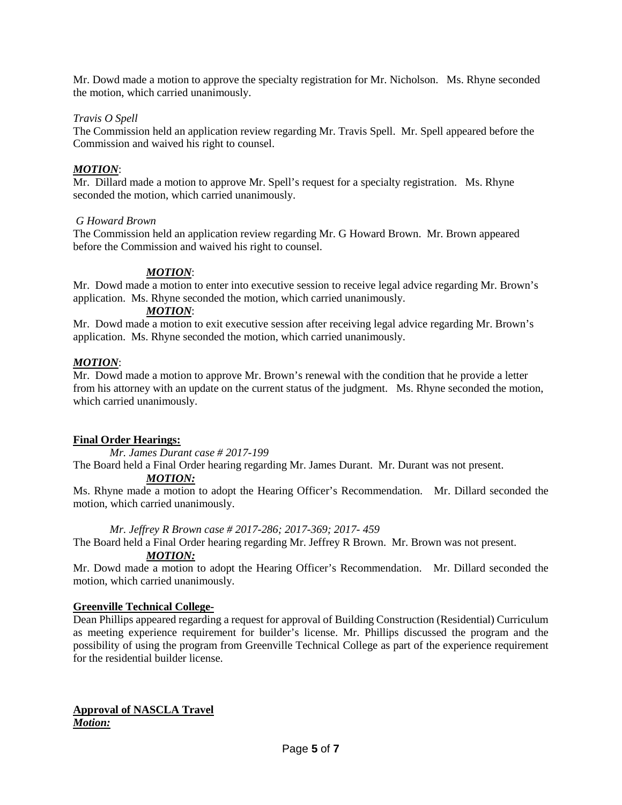Mr. Dowd made a motion to approve the specialty registration for Mr. Nicholson. Ms. Rhyne seconded the motion, which carried unanimously.

## *Travis O Spell*

The Commission held an application review regarding Mr. Travis Spell. Mr. Spell appeared before the Commission and waived his right to counsel.

## *MOTION*:

Mr. Dillard made a motion to approve Mr. Spell's request for a specialty registration. Ms. Rhyne seconded the motion, which carried unanimously.

### *G Howard Brown*

The Commission held an application review regarding Mr. G Howard Brown. Mr. Brown appeared before the Commission and waived his right to counsel.

# *MOTION*:

Mr. Dowd made a motion to enter into executive session to receive legal advice regarding Mr. Brown's application. Ms. Rhyne seconded the motion, which carried unanimously.

### *MOTION*:

Mr. Dowd made a motion to exit executive session after receiving legal advice regarding Mr. Brown's application. Ms. Rhyne seconded the motion, which carried unanimously.

## *MOTION*:

Mr. Dowd made a motion to approve Mr. Brown's renewal with the condition that he provide a letter from his attorney with an update on the current status of the judgment. Ms. Rhyne seconded the motion, which carried unanimously.

## **Final Order Hearings:**

*Mr. James Durant case # 2017-199*

The Board held a Final Order hearing regarding Mr. James Durant. Mr. Durant was not present. *MOTION:*

Ms. Rhyne made a motion to adopt the Hearing Officer's Recommendation. Mr. Dillard seconded the motion, which carried unanimously.

*Mr. Jeffrey R Brown case # 2017-286; 2017-369; 2017- 459*

The Board held a Final Order hearing regarding Mr. Jeffrey R Brown. Mr. Brown was not present.

## *MOTION:*

Mr. Dowd made a motion to adopt the Hearing Officer's Recommendation. Mr. Dillard seconded the motion, which carried unanimously.

## **Greenville Technical College-**

Dean Phillips appeared regarding a request for approval of Building Construction (Residential) Curriculum as meeting experience requirement for builder's license. Mr. Phillips discussed the program and the possibility of using the program from Greenville Technical College as part of the experience requirement for the residential builder license.

## **Approval of NASCLA Travel**  *Motion:*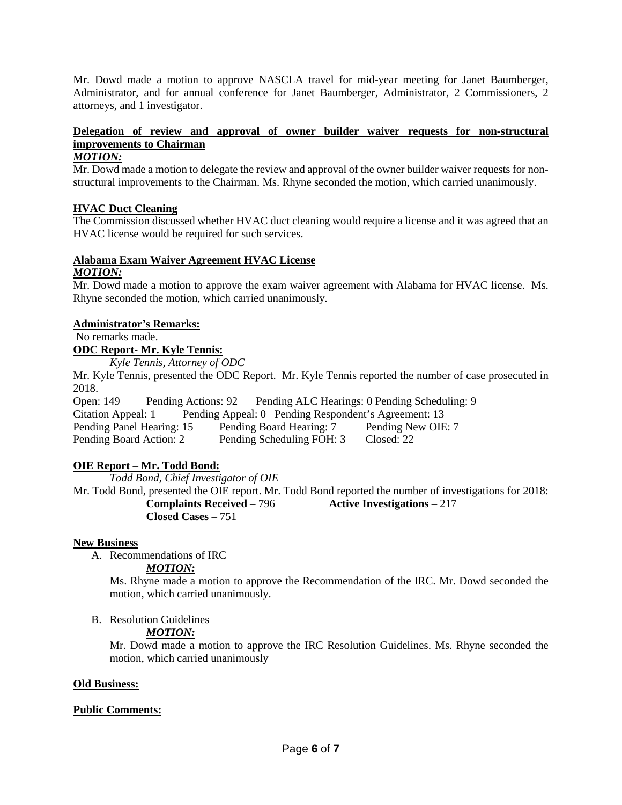Mr. Dowd made a motion to approve NASCLA travel for mid-year meeting for Janet Baumberger, Administrator, and for annual conference for Janet Baumberger, Administrator, 2 Commissioners, 2 attorneys, and 1 investigator.

# **Delegation of review and approval of owner builder waiver requests for non-structural improvements to Chairman**

# *MOTION:*

Mr. Dowd made a motion to delegate the review and approval of the owner builder waiver requests for nonstructural improvements to the Chairman. Ms. Rhyne seconded the motion, which carried unanimously.

## **HVAC Duct Cleaning**

The Commission discussed whether HVAC duct cleaning would require a license and it was agreed that an HVAC license would be required for such services.

# **Alabama Exam Waiver Agreement HVAC License**

## *MOTION:*

Mr. Dowd made a motion to approve the exam waiver agreement with Alabama for HVAC license. Ms. Rhyne seconded the motion, which carried unanimously.

## **Administrator's Remarks:**

No remarks made.

**ODC Report- Mr. Kyle Tennis:**

*Kyle Tennis, Attorney of ODC*

Mr. Kyle Tennis, presented the ODC Report. Mr. Kyle Tennis reported the number of case prosecuted in 2018.

Open: 149 Pending Actions: 92 Pending ALC Hearings: 0 Pending Scheduling: 9 Citation Appeal: 1 Pending Appeal: 0 Pending Respondent's Agreement: 13 Pending Panel Hearing: 15 Pending Board Hearing: 7 Pending New OIE: 7<br>Pending Board Action: 2 Pending Scheduling FOH: 3 Closed: 22 Pending Scheduling FOH: 3 Closed: 22

## **OIE Report – Mr. Todd Bond:**

*Todd Bond, Chief Investigator of OIE* Mr. Todd Bond, presented the OIE report. Mr. Todd Bond reported the number of investigations for 2018: **Complaints Received –** 796 **Active Investigations –** 217 **Closed Cases –** 751

### **New Business**

A. Recommendations of IRC

*MOTION:*

Ms. Rhyne made a motion to approve the Recommendation of the IRC. Mr. Dowd seconded the motion, which carried unanimously.

B. Resolution Guidelines

## *MOTION:*

Mr. Dowd made a motion to approve the IRC Resolution Guidelines. Ms. Rhyne seconded the motion, which carried unanimously

### **Old Business:**

### **Public Comments:**